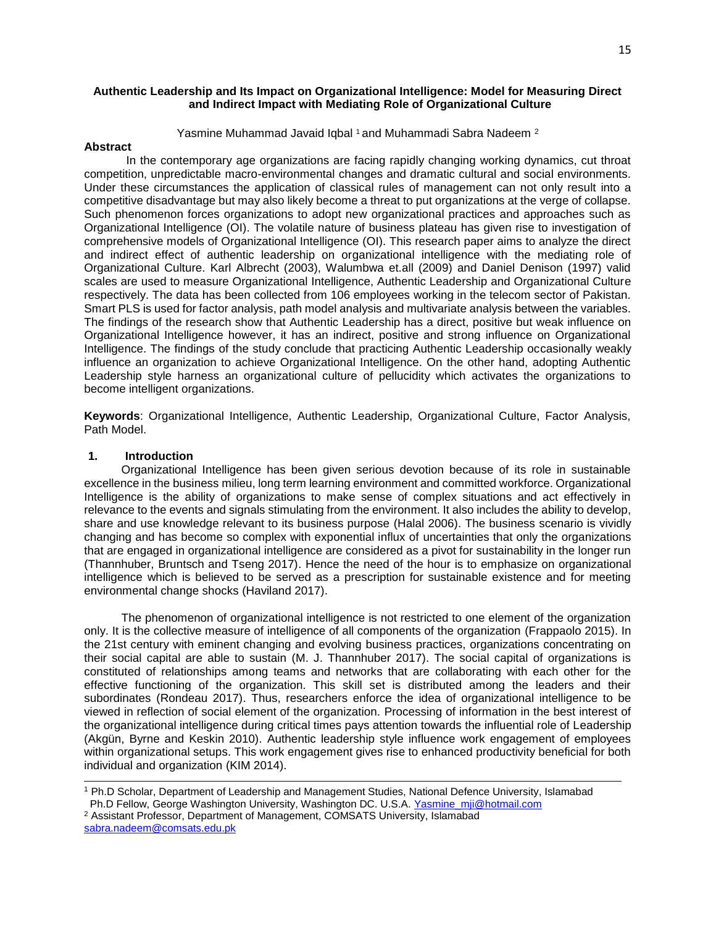### **Authentic Leadership and Its Impact on Organizational Intelligence: Model for Measuring Direct and Indirect Impact with Mediating Role of Organizational Culture**

Yasmine Muhammad Javaid Iqbal <sup>1</sup> and Muhammadi Sabra Nadeem <sup>2</sup>

#### **Abstract**

In the contemporary age organizations are facing rapidly changing working dynamics, cut throat competition, unpredictable macro-environmental changes and dramatic cultural and social environments. Under these circumstances the application of classical rules of management can not only result into a competitive disadvantage but may also likely become a threat to put organizations at the verge of collapse. Such phenomenon forces organizations to adopt new organizational practices and approaches such as Organizational Intelligence (OI). The volatile nature of business plateau has given rise to investigation of comprehensive models of Organizational Intelligence (OI). This research paper aims to analyze the direct and indirect effect of authentic leadership on organizational intelligence with the mediating role of Organizational Culture. Karl Albrecht (2003), Walumbwa et.all (2009) and Daniel Denison (1997) valid scales are used to measure Organizational Intelligence, Authentic Leadership and Organizational Culture respectively. The data has been collected from 106 employees working in the telecom sector of Pakistan. Smart PLS is used for factor analysis, path model analysis and multivariate analysis between the variables. The findings of the research show that Authentic Leadership has a direct, positive but weak influence on Organizational Intelligence however, it has an indirect, positive and strong influence on Organizational Intelligence. The findings of the study conclude that practicing Authentic Leadership occasionally weakly influence an organization to achieve Organizational Intelligence. On the other hand, adopting Authentic Leadership style harness an organizational culture of pellucidity which activates the organizations to become intelligent organizations.

**Keywords**: Organizational Intelligence, Authentic Leadership, Organizational Culture, Factor Analysis, Path Model.

### **1. Introduction**

 Organizational Intelligence has been given serious devotion because of its role in sustainable excellence in the business milieu, long term learning environment and committed workforce. Organizational Intelligence is the ability of organizations to make sense of complex situations and act effectively in relevance to the events and signals stimulating from the environment. It also includes the ability to develop, share and use knowledge relevant to its business purpose (Halal 2006). The business scenario is vividly changing and has become so complex with exponential influx of uncertainties that only the organizations that are engaged in organizational intelligence are considered as a pivot for sustainability in the longer run (Thannhuber, Bruntsch and Tseng 2017). Hence the need of the hour is to emphasize on organizational intelligence which is believed to be served as a prescription for sustainable existence and for meeting environmental change shocks (Haviland 2017).

 The phenomenon of organizational intelligence is not restricted to one element of the organization only. It is the collective measure of intelligence of all components of the organization (Frappaolo 2015). In the 21st century with eminent changing and evolving business practices, organizations concentrating on their social capital are able to sustain (M. J. Thannhuber 2017). The social capital of organizations is constituted of relationships among teams and networks that are collaborating with each other for the effective functioning of the organization. This skill set is distributed among the leaders and their subordinates (Rondeau 2017). Thus, researchers enforce the idea of organizational intelligence to be viewed in reflection of social element of the organization. Processing of information in the best interest of the organizational intelligence during critical times pays attention towards the influential role of Leadership (Akgün, Byrne and Keskin 2010). Authentic leadership style influence work engagement of employees within organizational setups. This work engagement gives rise to enhanced productivity beneficial for both individual and organization (KIM 2014).

<sup>2</sup> Assistant Professor, Department of Management, COMSATS University, Islamabad [sabra.nadeem@comsats.edu.pk](mailto:sabra.nadeem@comsats.edu.pk)

<sup>1</sup> Ph.D Scholar, Department of Leadership and Management Studies, National Defence University, Islamabad Ph.D Fellow, George Washington University, Washington DC. U.S.A. [Yasmine\\_mji@hotmail.com](mailto:Yasmine_mji@hotmail.com)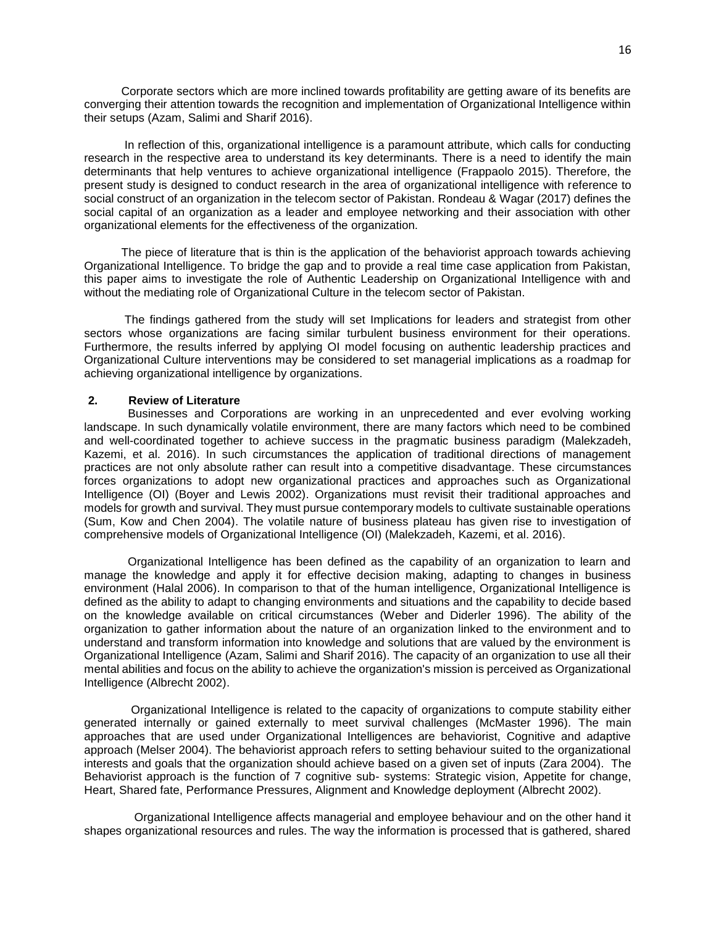Corporate sectors which are more inclined towards profitability are getting aware of its benefits are converging their attention towards the recognition and implementation of Organizational Intelligence within their setups (Azam, Salimi and Sharif 2016).

 In reflection of this, organizational intelligence is a paramount attribute, which calls for conducting research in the respective area to understand its key determinants. There is a need to identify the main determinants that help ventures to achieve organizational intelligence (Frappaolo 2015). Therefore, the present study is designed to conduct research in the area of organizational intelligence with reference to social construct of an organization in the telecom sector of Pakistan. Rondeau & Wagar (2017) defines the social capital of an organization as a leader and employee networking and their association with other organizational elements for the effectiveness of the organization.

 The piece of literature that is thin is the application of the behaviorist approach towards achieving Organizational Intelligence. To bridge the gap and to provide a real time case application from Pakistan, this paper aims to investigate the role of Authentic Leadership on Organizational Intelligence with and without the mediating role of Organizational Culture in the telecom sector of Pakistan.

 The findings gathered from the study will set Implications for leaders and strategist from other sectors whose organizations are facing similar turbulent business environment for their operations. Furthermore, the results inferred by applying OI model focusing on authentic leadership practices and Organizational Culture interventions may be considered to set managerial implications as a roadmap for achieving organizational intelligence by organizations.

# **2. Review of Literature**

 Businesses and Corporations are working in an unprecedented and ever evolving working landscape. In such dynamically volatile environment, there are many factors which need to be combined and well-coordinated together to achieve success in the pragmatic business paradigm (Malekzadeh, Kazemi, et al. 2016). In such circumstances the application of traditional directions of management practices are not only absolute rather can result into a competitive disadvantage. These circumstances forces organizations to adopt new organizational practices and approaches such as Organizational Intelligence (OI) (Boyer and Lewis 2002). Organizations must revisit their traditional approaches and models for growth and survival. They must pursue contemporary models to cultivate sustainable operations (Sum, Kow and Chen 2004). The volatile nature of business plateau has given rise to investigation of comprehensive models of Organizational Intelligence (OI) (Malekzadeh, Kazemi, et al. 2016).

 Organizational Intelligence has been defined as the capability of an organization to learn and manage the knowledge and apply it for effective decision making, adapting to changes in business environment (Halal 2006). In comparison to that of the human intelligence, Organizational Intelligence is defined as the ability to adapt to changing environments and situations and the capability to decide based on the knowledge available on critical circumstances (Weber and Diderler 1996). The ability of the organization to gather information about the nature of an organization linked to the environment and to understand and transform information into knowledge and solutions that are valued by the environment is Organizational Intelligence (Azam, Salimi and Sharif 2016). The capacity of an organization to use all their mental abilities and focus on the ability to achieve the organization's mission is perceived as Organizational Intelligence (Albrecht 2002).

 Organizational Intelligence is related to the capacity of organizations to compute stability either generated internally or gained externally to meet survival challenges (McMaster 1996). The main approaches that are used under Organizational Intelligences are behaviorist, Cognitive and adaptive approach (Melser 2004). The behaviorist approach refers to setting behaviour suited to the organizational interests and goals that the organization should achieve based on a given set of inputs (Zara 2004). The Behaviorist approach is the function of 7 cognitive sub- systems: Strategic vision, Appetite for change, Heart, Shared fate, Performance Pressures, Alignment and Knowledge deployment (Albrecht 2002).

 Organizational Intelligence affects managerial and employee behaviour and on the other hand it shapes organizational resources and rules. The way the information is processed that is gathered, shared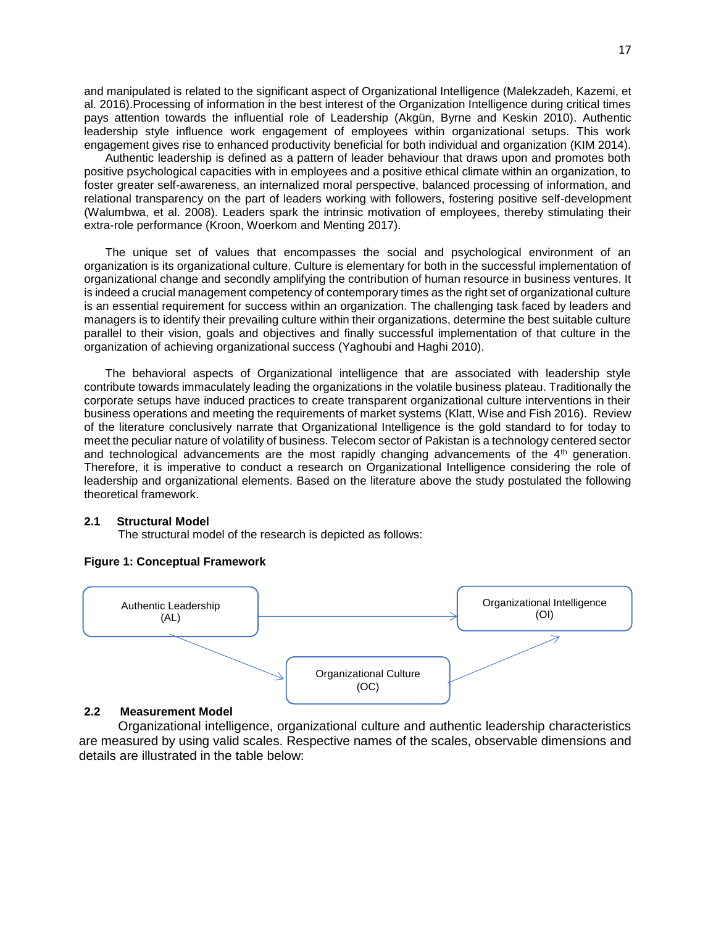and manipulated is related to the significant aspect of Organizational Intelligence (Malekzadeh, Kazemi, et al. 2016).Processing of information in the best interest of the Organization Intelligence during critical times pays attention towards the influential role of Leadership (Akgün, Byrne and Keskin 2010). Authentic leadership style influence work engagement of employees within organizational setups. This work engagement gives rise to enhanced productivity beneficial for both individual and organization (KIM 2014).

Authentic leadership is defined as a pattern of leader behaviour that draws upon and promotes both positive psychological capacities with in employees and a positive ethical climate within an organization, to foster greater self-awareness, an internalized moral perspective, balanced processing of information, and relational transparency on the part of leaders working with followers, fostering positive self-development (Walumbwa, et al. 2008). Leaders spark the intrinsic motivation of employees, thereby stimulating their extra-role performance (Kroon, Woerkom and Menting 2017).

The unique set of values that encompasses the social and psychological environment of an organization is its organizational culture. Culture is elementary for both in the successful implementation of organizational change and secondly amplifying the contribution of human resource in business ventures. It is indeed a crucial management competency of contemporary times as the right set of organizational culture is an essential requirement for success within an organization. The challenging task faced by leaders and managers is to identify their prevailing culture within their organizations, determine the best suitable culture parallel to their vision, goals and objectives and finally successful implementation of that culture in the organization of achieving organizational success (Yaghoubi and Haghi 2010).

The behavioral aspects of Organizational intelligence that are associated with leadership style contribute towards immaculately leading the organizations in the volatile business plateau. Traditionally the corporate setups have induced practices to create transparent organizational culture interventions in their business operations and meeting the requirements of market systems (Klatt, Wise and Fish 2016). Review of the literature conclusively narrate that Organizational Intelligence is the gold standard to for today to meet the peculiar nature of volatility of business. Telecom sector of Pakistan is a technology centered sector and technological advancements are the most rapidly changing advancements of the  $4<sup>th</sup>$  generation. Therefore, it is imperative to conduct a research on Organizational Intelligence considering the role of leadership and organizational elements. Based on the literature above the study postulated the following theoretical framework.

#### **2.1 Structural Model**

The structural model of the research is depicted as follows:



#### **Figure 1: Conceptual Framework**

#### **2.2 Measurement Model**

 Organizational intelligence, organizational culture and authentic leadership characteristics are measured by using valid scales. Respective names of the scales, observable dimensions and details are illustrated in the table below: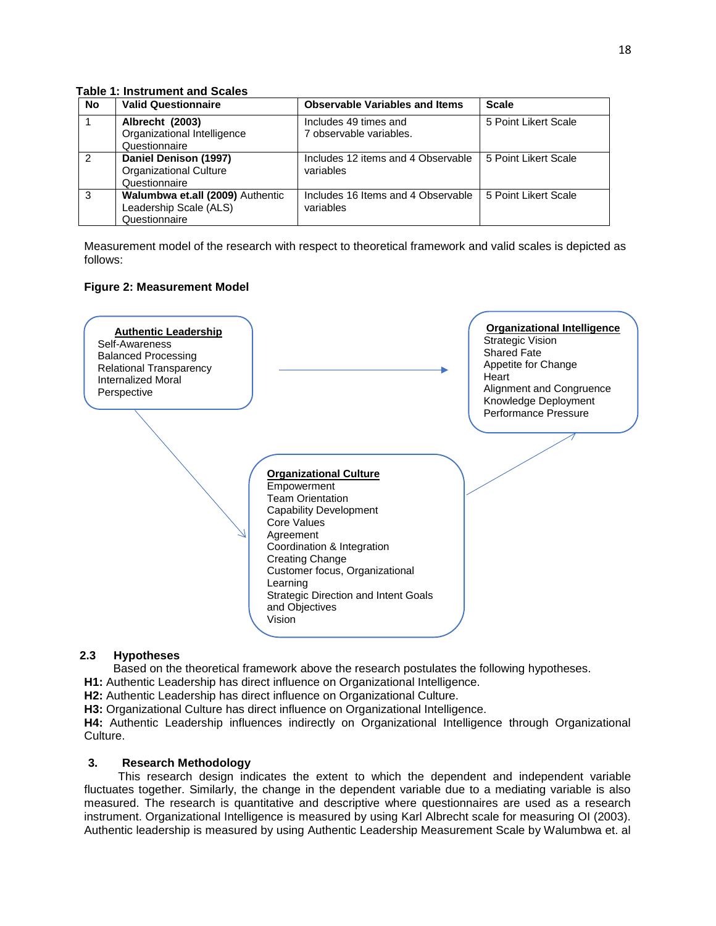**Table 1: Instrument and Scales**

| No            | <b>Valid Questionnaire</b>                                                  | <b>Observable Variables and Items</b>            | <b>Scale</b>         |
|---------------|-----------------------------------------------------------------------------|--------------------------------------------------|----------------------|
|               | Albrecht (2003)<br>Organizational Intelligence<br>Questionnaire             | Includes 49 times and<br>7 observable variables. | 5 Point Likert Scale |
| $\mathcal{P}$ | Daniel Denison (1997)<br><b>Organizational Culture</b><br>Questionnaire     | Includes 12 items and 4 Observable<br>variables  | 5 Point Likert Scale |
| 3             | Walumbwa et.all (2009) Authentic<br>Leadership Scale (ALS)<br>Questionnaire | Includes 16 Items and 4 Observable<br>variables  | 5 Point Likert Scale |

Measurement model of the research with respect to theoretical framework and valid scales is depicted as follows:

# **Figure 2: Measurement Model**



# **2.3 Hypotheses**

Based on the theoretical framework above the research postulates the following hypotheses.

**H1:** Authentic Leadership has direct influence on Organizational Intelligence.

**H2:** Authentic Leadership has direct influence on Organizational Culture.

**H3:** Organizational Culture has direct influence on Organizational Intelligence.

**H4:** Authentic Leadership influences indirectly on Organizational Intelligence through Organizational Culture.

# **3. Research Methodology**

 This research design indicates the extent to which the dependent and independent variable fluctuates together. Similarly, the change in the dependent variable due to a mediating variable is also measured. The research is quantitative and descriptive where questionnaires are used as a research instrument. Organizational Intelligence is measured by using Karl Albrecht scale for measuring OI (2003). Authentic leadership is measured by using Authentic Leadership Measurement Scale by Walumbwa et. al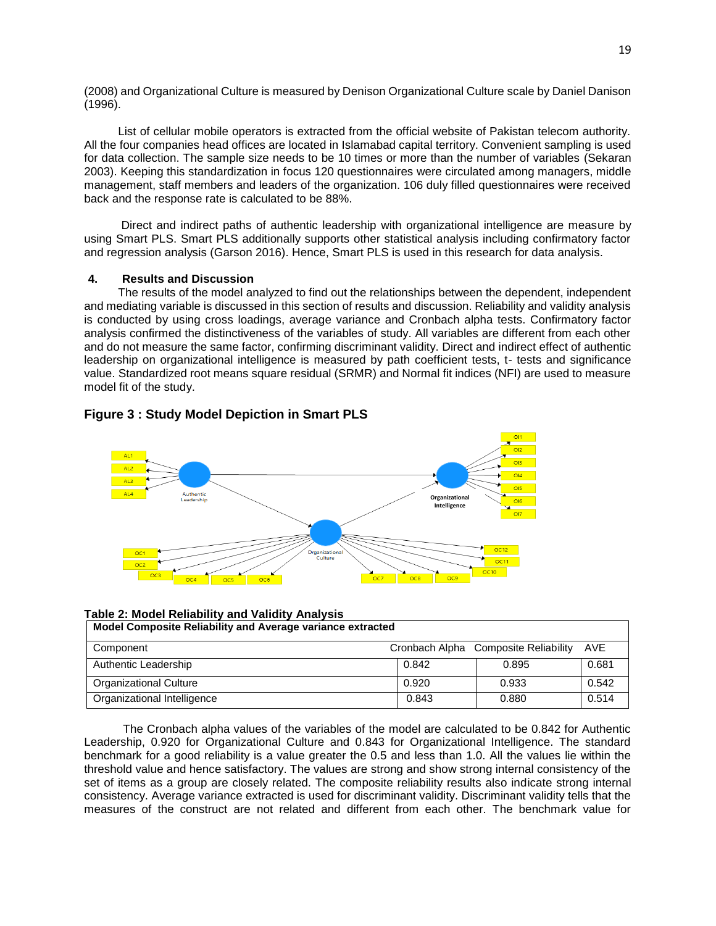(2008) and Organizational Culture is measured by Denison Organizational Culture scale by Daniel Danison (1996).

 List of cellular mobile operators is extracted from the official website of Pakistan telecom authority. All the four companies head offices are located in Islamabad capital territory. Convenient sampling is used for data collection. The sample size needs to be 10 times or more than the number of variables (Sekaran 2003). Keeping this standardization in focus 120 questionnaires were circulated among managers, middle management, staff members and leaders of the organization. 106 duly filled questionnaires were received back and the response rate is calculated to be 88%.

 Direct and indirect paths of authentic leadership with organizational intelligence are measure by using Smart PLS. Smart PLS additionally supports other statistical analysis including confirmatory factor and regression analysis (Garson 2016). Hence, Smart PLS is used in this research for data analysis.

#### **4. Results and Discussion**

 The results of the model analyzed to find out the relationships between the dependent, independent and mediating variable is discussed in this section of results and discussion. Reliability and validity analysis is conducted by using cross loadings, average variance and Cronbach alpha tests. Confirmatory factor analysis confirmed the distinctiveness of the variables of study. All variables are different from each other and do not measure the same factor, confirming discriminant validity. Direct and indirect effect of authentic leadership on organizational intelligence is measured by path coefficient tests, t- tests and significance value. Standardized root means square residual (SRMR) and Normal fit indices (NFI) are used to measure model fit of the study.





# **Table 2: Model Reliability and Validity Analysis**

| Model Composite Reliability and Average variance extracted |       |                                      |       |  |
|------------------------------------------------------------|-------|--------------------------------------|-------|--|
| Component                                                  |       | Cronbach Alpha Composite Reliability | AVE   |  |
| Authentic Leadership                                       | 0.842 | 0.895                                | 0.681 |  |
| Organizational Culture                                     | 0.920 | 0.933                                | 0.542 |  |
| Organizational Intelligence                                | 0.843 | 0.880                                | 0.514 |  |

 The Cronbach alpha values of the variables of the model are calculated to be 0.842 for Authentic Leadership, 0.920 for Organizational Culture and 0.843 for Organizational Intelligence. The standard benchmark for a good reliability is a value greater the 0.5 and less than 1.0. All the values lie within the threshold value and hence satisfactory. The values are strong and show strong internal consistency of the set of items as a group are closely related. The composite reliability results also indicate strong internal consistency. Average variance extracted is used for discriminant validity. Discriminant validity tells that the measures of the construct are not related and different from each other. The benchmark value for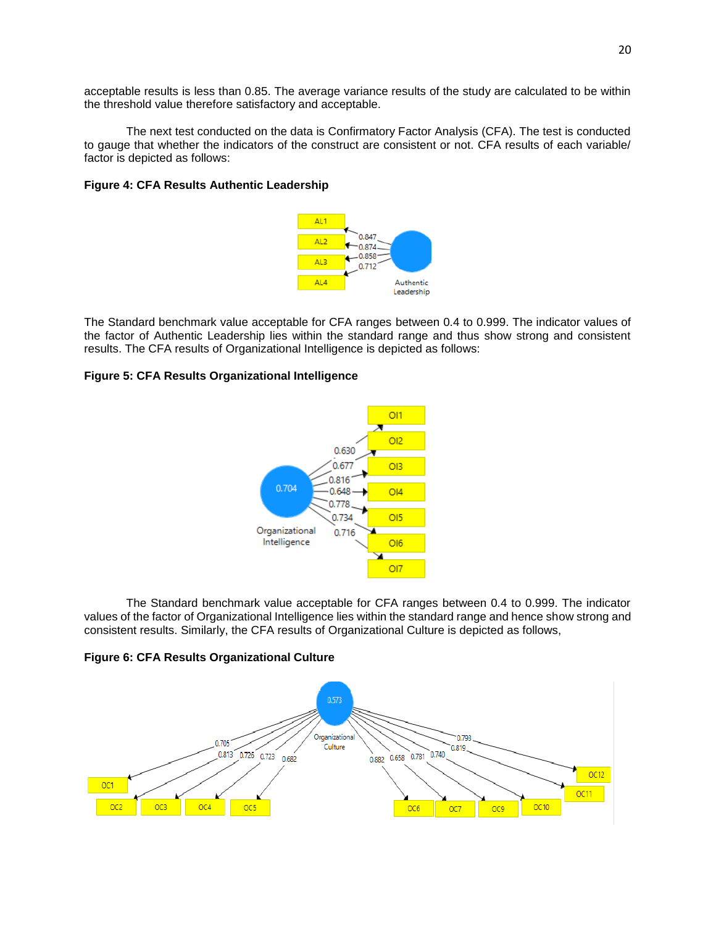acceptable results is less than 0.85. The average variance results of the study are calculated to be within the threshold value therefore satisfactory and acceptable.

The next test conducted on the data is Confirmatory Factor Analysis (CFA). The test is conducted to gauge that whether the indicators of the construct are consistent or not. CFA results of each variable/ factor is depicted as follows:

#### **Figure 4: CFA Results Authentic Leadership**



The Standard benchmark value acceptable for CFA ranges between 0.4 to 0.999. The indicator values of the factor of Authentic Leadership lies within the standard range and thus show strong and consistent results. The CFA results of Organizational Intelligence is depicted as follows:

# **Figure 5: CFA Results Organizational Intelligence**



The Standard benchmark value acceptable for CFA ranges between 0.4 to 0.999. The indicator values of the factor of Organizational Intelligence lies within the standard range and hence show strong and consistent results. Similarly, the CFA results of Organizational Culture is depicted as follows,

# **Figure 6: CFA Results Organizational Culture**

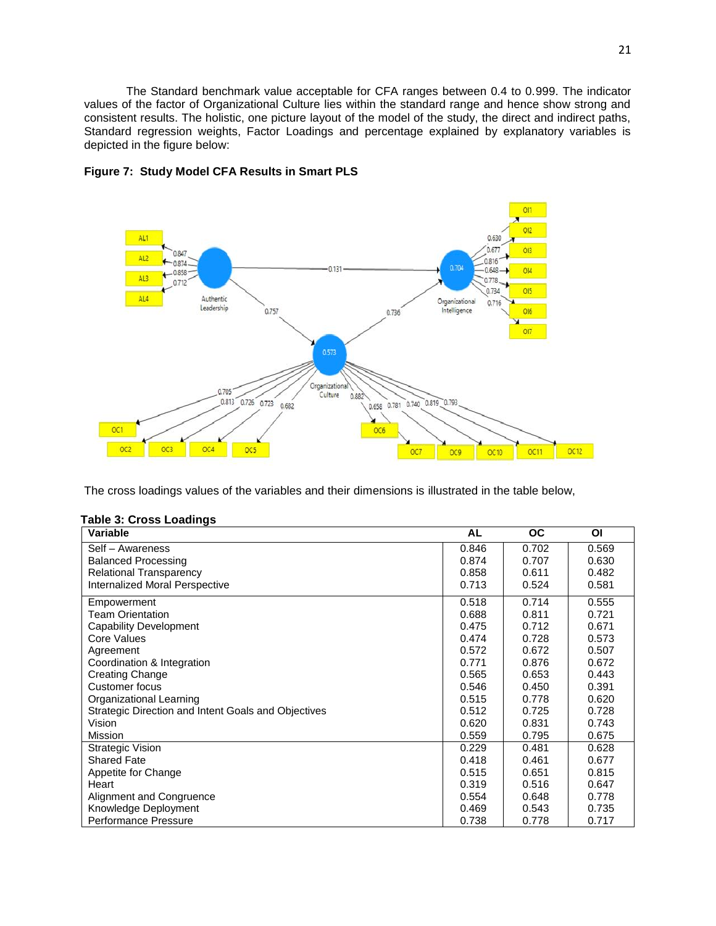The Standard benchmark value acceptable for CFA ranges between 0.4 to 0.999. The indicator values of the factor of Organizational Culture lies within the standard range and hence show strong and consistent results. The holistic, one picture layout of the model of the study, the direct and indirect paths, Standard regression weights, Factor Loadings and percentage explained by explanatory variables is depicted in the figure below:



#### **Figure 7: Study Model CFA Results in Smart PLS**

The cross loadings values of the variables and their dimensions is illustrated in the table below,

| apio o: o:ooo Louaniyo<br>Variable                  | AL    | ОC    | ΟI    |
|-----------------------------------------------------|-------|-------|-------|
| Self - Awareness                                    | 0.846 | 0.702 | 0.569 |
| <b>Balanced Processing</b>                          | 0.874 | 0.707 | 0.630 |
| <b>Relational Transparency</b>                      | 0.858 | 0.611 | 0.482 |
| Internalized Moral Perspective                      | 0.713 | 0.524 | 0.581 |
| Empowerment                                         | 0.518 | 0.714 | 0.555 |
| <b>Team Orientation</b>                             | 0.688 | 0.811 | 0.721 |
| <b>Capability Development</b>                       | 0.475 | 0.712 | 0.671 |
| Core Values                                         | 0.474 | 0.728 | 0.573 |
| Agreement                                           | 0.572 | 0.672 | 0.507 |
| Coordination & Integration                          | 0.771 | 0.876 | 0.672 |
| <b>Creating Change</b>                              | 0.565 | 0.653 | 0.443 |
| Customer focus                                      | 0.546 | 0.450 | 0.391 |
| Organizational Learning                             | 0.515 | 0.778 | 0.620 |
| Strategic Direction and Intent Goals and Objectives | 0.512 | 0.725 | 0.728 |
| Vision                                              | 0.620 | 0.831 | 0.743 |
| Mission                                             | 0.559 | 0.795 | 0.675 |
| <b>Strategic Vision</b>                             | 0.229 | 0.481 | 0.628 |
| <b>Shared Fate</b>                                  | 0.418 | 0.461 | 0.677 |
| Appetite for Change                                 | 0.515 | 0.651 | 0.815 |
| Heart                                               | 0.319 | 0.516 | 0.647 |
| Alignment and Congruence                            | 0.554 | 0.648 | 0.778 |
| Knowledge Deployment                                | 0.469 | 0.543 | 0.735 |
| <b>Performance Pressure</b>                         | 0.738 | 0.778 | 0.717 |

# **Table 3: Cross Loadings**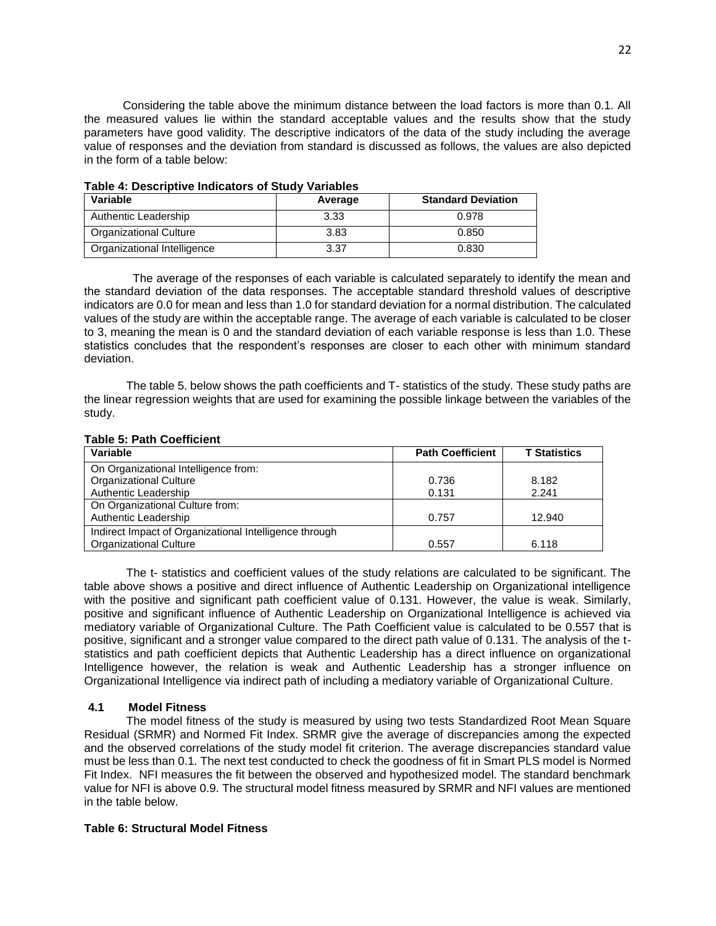Considering the table above the minimum distance between the load factors is more than 0.1. All the measured values lie within the standard acceptable values and the results show that the study parameters have good validity. The descriptive indicators of the data of the study including the average value of responses and the deviation from standard is discussed as follows, the values are also depicted in the form of a table below:

| $1$ udio –1. pooglibiito Iliulouloid ol oluut |         |                           |  |
|-----------------------------------------------|---------|---------------------------|--|
| Variable                                      | Average | <b>Standard Deviation</b> |  |
| Authentic Leadership                          | 3.33    | 0.978                     |  |
| Organizational Culture                        | 3.83    | 0.850                     |  |
| Organizational Intelligence                   | 3.37    | 0.830                     |  |

### **Table 4: Descriptive Indicators of Study Variables**

 The average of the responses of each variable is calculated separately to identify the mean and the standard deviation of the data responses. The acceptable standard threshold values of descriptive indicators are 0.0 for mean and less than 1.0 for standard deviation for a normal distribution. The calculated values of the study are within the acceptable range. The average of each variable is calculated to be closer to 3, meaning the mean is 0 and the standard deviation of each variable response is less than 1.0. These statistics concludes that the respondent's responses are closer to each other with minimum standard deviation.

The table 5. below shows the path coefficients and T- statistics of the study. These study paths are the linear regression weights that are used for examining the possible linkage between the variables of the study.

### **Table 5: Path Coefficient**

| Variable                                               | <b>Path Coefficient</b> | <b>T</b> Statistics |
|--------------------------------------------------------|-------------------------|---------------------|
| On Organizational Intelligence from:                   |                         |                     |
| <b>Organizational Culture</b>                          | 0.736                   | 8.182               |
| Authentic Leadership                                   | 0.131                   | 2.241               |
| On Organizational Culture from:                        |                         |                     |
| Authentic Leadership                                   | 0.757                   | 12.940              |
| Indirect Impact of Organizational Intelligence through |                         |                     |
| <b>Organizational Culture</b>                          | 0.557                   | 6.118               |

The t- statistics and coefficient values of the study relations are calculated to be significant. The table above shows a positive and direct influence of Authentic Leadership on Organizational intelligence with the positive and significant path coefficient value of 0.131. However, the value is weak. Similarly, positive and significant influence of Authentic Leadership on Organizational Intelligence is achieved via mediatory variable of Organizational Culture. The Path Coefficient value is calculated to be 0.557 that is positive, significant and a stronger value compared to the direct path value of 0.131. The analysis of the tstatistics and path coefficient depicts that Authentic Leadership has a direct influence on organizational Intelligence however, the relation is weak and Authentic Leadership has a stronger influence on Organizational Intelligence via indirect path of including a mediatory variable of Organizational Culture.

# **4.1 Model Fitness**

 The model fitness of the study is measured by using two tests Standardized Root Mean Square Residual (SRMR) and Normed Fit Index. SRMR give the average of discrepancies among the expected and the observed correlations of the study model fit criterion. The average discrepancies standard value must be less than 0.1. The next test conducted to check the goodness of fit in Smart PLS model is Normed Fit Index. NFI measures the fit between the observed and hypothesized model. The standard benchmark value for NFI is above 0.9. The structural model fitness measured by SRMR and NFI values are mentioned in the table below.

# **Table 6: Structural Model Fitness**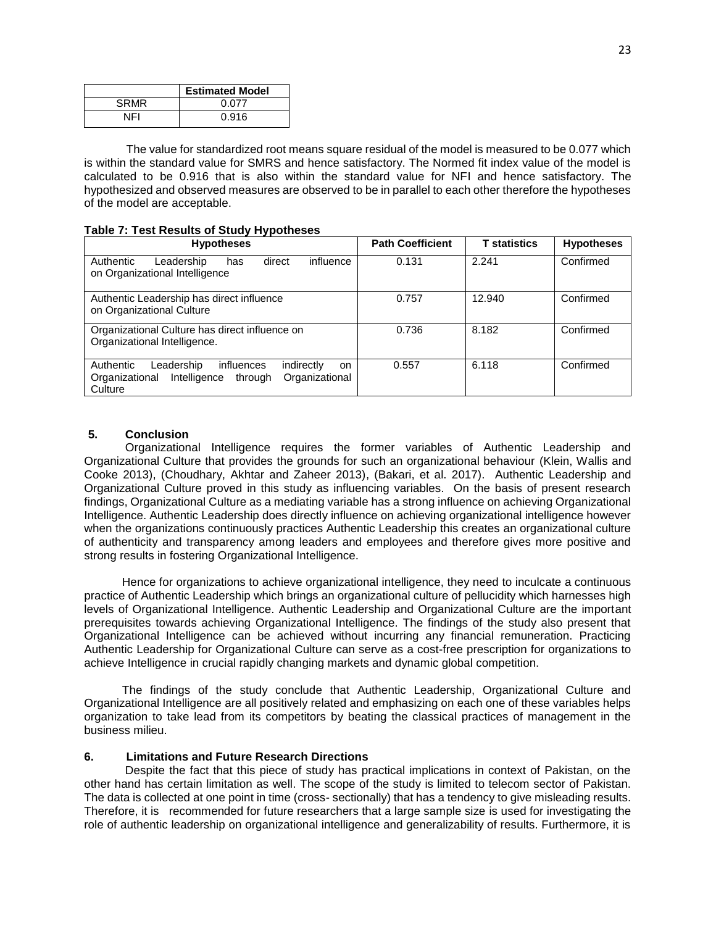|             | <b>Estimated Model</b> |  |  |
|-------------|------------------------|--|--|
| <b>SRMR</b> | 0.077                  |  |  |
| NFI         | 0.916                  |  |  |

The value for standardized root means square residual of the model is measured to be 0.077 which is within the standard value for SMRS and hence satisfactory. The Normed fit index value of the model is calculated to be 0.916 that is also within the standard value for NFI and hence satisfactory. The hypothesized and observed measures are observed to be in parallel to each other therefore the hypotheses of the model are acceptable.

### **Table 7: Test Results of Study Hypotheses**

| <b>Hypotheses</b>                                                                                                                          | <b>Path Coefficient</b> | <b>T</b> statistics | <b>Hypotheses</b> |
|--------------------------------------------------------------------------------------------------------------------------------------------|-------------------------|---------------------|-------------------|
| Authentic<br>influence<br>Leadership<br>direct<br>has<br>on Organizational Intelligence                                                    | 0.131                   | 2.241               | Confirmed         |
| Authentic Leadership has direct influence<br>on Organizational Culture                                                                     | 0.757                   | 12.940              | Confirmed         |
| Organizational Culture has direct influence on<br>Organizational Intelligence.                                                             | 0.736                   | 8.182               | Confirmed         |
| Authentic<br>Leadership<br>influences<br>indirectly<br><b>on</b><br>Organizational<br>Organizational<br>Intelligence<br>through<br>Culture | 0.557                   | 6.118               | Confirmed         |

# **5. Conclusion**

 Organizational Intelligence requires the former variables of Authentic Leadership and Organizational Culture that provides the grounds for such an organizational behaviour (Klein, Wallis and Cooke 2013), (Choudhary, Akhtar and Zaheer 2013), (Bakari, et al. 2017). Authentic Leadership and Organizational Culture proved in this study as influencing variables. On the basis of present research findings, Organizational Culture as a mediating variable has a strong influence on achieving Organizational Intelligence. Authentic Leadership does directly influence on achieving organizational intelligence however when the organizations continuously practices Authentic Leadership this creates an organizational culture of authenticity and transparency among leaders and employees and therefore gives more positive and strong results in fostering Organizational Intelligence.

 Hence for organizations to achieve organizational intelligence, they need to inculcate a continuous practice of Authentic Leadership which brings an organizational culture of pellucidity which harnesses high levels of Organizational Intelligence. Authentic Leadership and Organizational Culture are the important prerequisites towards achieving Organizational Intelligence. The findings of the study also present that Organizational Intelligence can be achieved without incurring any financial remuneration. Practicing Authentic Leadership for Organizational Culture can serve as a cost-free prescription for organizations to achieve Intelligence in crucial rapidly changing markets and dynamic global competition.

 The findings of the study conclude that Authentic Leadership, Organizational Culture and Organizational Intelligence are all positively related and emphasizing on each one of these variables helps organization to take lead from its competitors by beating the classical practices of management in the business milieu.

# **6. Limitations and Future Research Directions**

 Despite the fact that this piece of study has practical implications in context of Pakistan, on the other hand has certain limitation as well. The scope of the study is limited to telecom sector of Pakistan. The data is collected at one point in time (cross- sectionally) that has a tendency to give misleading results. Therefore, it is recommended for future researchers that a large sample size is used for investigating the role of authentic leadership on organizational intelligence and generalizability of results. Furthermore, it is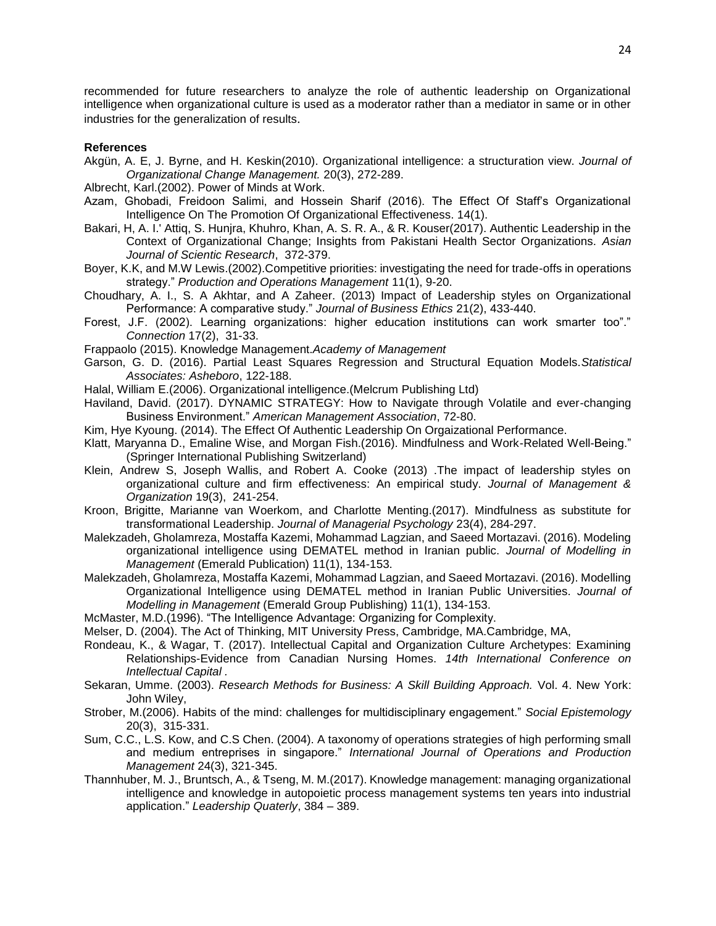recommended for future researchers to analyze the role of authentic leadership on Organizational intelligence when organizational culture is used as a moderator rather than a mediator in same or in other industries for the generalization of results.

#### **References**

- Akgün, A. E, J. Byrne, and H. Keskin(2010). Organizational intelligence: a structuration view. *Journal of Organizational Change Management.* 20(3), 272-289.
- Albrecht, Karl.(2002). Power of Minds at Work.
- Azam, Ghobadi, Freidoon Salimi, and Hossein Sharif (2016). The Effect Of Staff's Organizational Intelligence On The Promotion Of Organizational Effectiveness. 14(1).
- Bakari, H, A. I.' Attiq, S. Hunjra, Khuhro, Khan, A. S. R. A., & R. Kouser(2017). Authentic Leadership in the Context of Organizational Change; Insights from Pakistani Health Sector Organizations. *Asian Journal of Scientic Research*, 372-379.
- Boyer, K.K, and M.W Lewis.(2002).Competitive priorities: investigating the need for trade-offs in operations strategy." *Production and Operations Management* 11(1), 9-20.
- Choudhary, A. I., S. A Akhtar, and A Zaheer. (2013) Impact of Leadership styles on Organizational Performance: A comparative study." *Journal of Business Ethics* 21(2), 433-440.
- Forest, J.F. (2002). Learning organizations: higher education institutions can work smarter too"." *Connection* 17(2), 31-33.
- Frappaolo (2015). Knowledge Management.*Academy of Management*
- Garson, G. D. (2016). Partial Least Squares Regression and Structural Equation Models.*Statistical Associates: Asheboro*, 122-188.
- Halal, William E.(2006). Organizational intelligence.(Melcrum Publishing Ltd)
- Haviland, David. (2017). DYNAMIC STRATEGY: How to Navigate through Volatile and ever-changing Business Environment." *American Management Association*, 72-80.
- Kim, Hye Kyoung. (2014). The Effect Of Authentic Leadership On Orgaizational Performance.
- Klatt, Maryanna D., Emaline Wise, and Morgan Fish.(2016). Mindfulness and Work-Related Well-Being." (Springer International Publishing Switzerland)
- Klein, Andrew S, Joseph Wallis, and Robert A. Cooke (2013) .The impact of leadership styles on organizational culture and firm effectiveness: An empirical study. *Journal of Management & Organization* 19(3), 241-254.
- Kroon, Brigitte, Marianne van Woerkom, and Charlotte Menting.(2017). Mindfulness as substitute for transformational Leadership. *Journal of Managerial Psychology* 23(4), 284-297.
- Malekzadeh, Gholamreza, Mostaffa Kazemi, Mohammad Lagzian, and Saeed Mortazavi. (2016). Modeling organizational intelligence using DEMATEL method in Iranian public. *Journal of Modelling in Management* (Emerald Publication) 11(1), 134-153.
- Malekzadeh, Gholamreza, Mostaffa Kazemi, Mohammad Lagzian, and Saeed Mortazavi. (2016). Modelling Organizational Intelligence using DEMATEL method in Iranian Public Universities. *Journal of Modelling in Management* (Emerald Group Publishing) 11(1), 134-153.
- McMaster, M.D.(1996). "The Intelligence Advantage: Organizing for Complexity.
- Melser, D. (2004). The Act of Thinking, MIT University Press, Cambridge, MA.Cambridge, MA,
- Rondeau, K., & Wagar, T. (2017). Intellectual Capital and Organization Culture Archetypes: Examining Relationships-Evidence from Canadian Nursing Homes. *14th International Conference on Intellectual Capital .*
- Sekaran, Umme. (2003). *Research Methods for Business: A Skill Building Approach.* Vol. 4. New York: John Wiley,
- Strober, M.(2006). Habits of the mind: challenges for multidisciplinary engagement." *Social Epistemology* 20(3), 315-331.
- Sum, C.C., L.S. Kow, and C.S Chen. (2004). A taxonomy of operations strategies of high performing small and medium entreprises in singapore." *International Journal of Operations and Production Management* 24(3), 321-345.
- Thannhuber, M. J., Bruntsch, A., & Tseng, M. M.(2017). Knowledge management: managing organizational intelligence and knowledge in autopoietic process management systems ten years into industrial application." *Leadership Quaterly*, 384 – 389.